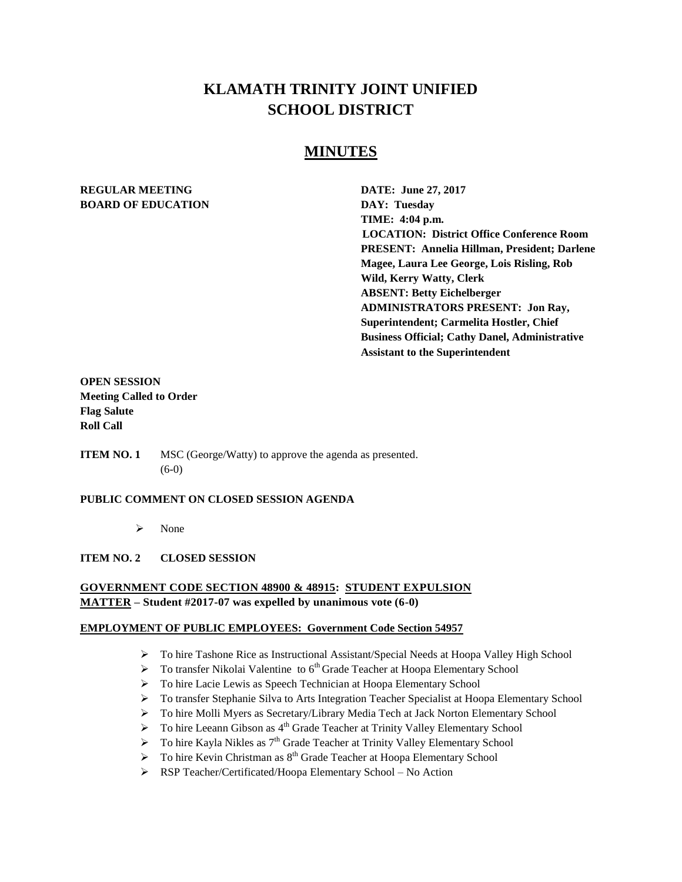# **KLAMATH TRINITY JOINT UNIFIED SCHOOL DISTRICT**

## **MINUTES**

## **REGULAR MEETING DATE: June 27, 2017 BOARD OF EDUCATION DAY: Tuesday**

**TIME: 4:04 p.m. LOCATION: District Office Conference Room PRESENT: Annelia Hillman, President; Darlene Magee, Laura Lee George, Lois Risling, Rob Wild, Kerry Watty, Clerk ABSENT: Betty Eichelberger ADMINISTRATORS PRESENT: Jon Ray, Superintendent; Carmelita Hostler, Chief Business Official; Cathy Danel, Administrative Assistant to the Superintendent** 

## **OPEN SESSION Meeting Called to Order Flag Salute Roll Call**

**ITEM NO. 1** MSC (George/Watty) to approve the agenda as presented. (6-0)

#### **PUBLIC COMMENT ON CLOSED SESSION AGENDA**

 $\triangleright$  None

#### **ITEM NO. 2 CLOSED SESSION**

#### **GOVERNMENT CODE SECTION 48900 & 48915: STUDENT EXPULSION MATTER – Student #2017-07 was expelled by unanimous vote (6-0)**

#### **EMPLOYMENT OF PUBLIC EMPLOYEES: Government Code Section 54957**

- To hire Tashone Rice as Instructional Assistant/Special Needs at Hoopa Valley High School
- $\triangleright$  To transfer Nikolai Valentine to  $6<sup>th</sup>$  Grade Teacher at Hoopa Elementary School
- > To hire Lacie Lewis as Speech Technician at Hoopa Elementary School
- To transfer Stephanie Silva to Arts Integration Teacher Specialist at Hoopa Elementary School
- To hire Molli Myers as Secretary/Library Media Tech at Jack Norton Elementary School
- $\triangleright$  To hire Leeann Gibson as  $4<sup>th</sup>$  Grade Teacher at Trinity Valley Elementary School
- $\triangleright$  To hire Kayla Nikles as  $7<sup>th</sup>$  Grade Teacher at Trinity Valley Elementary School
- $\triangleright$  To hire Kevin Christman as  $8^{th}$  Grade Teacher at Hoopa Elementary School
- RSP Teacher/Certificated/Hoopa Elementary School No Action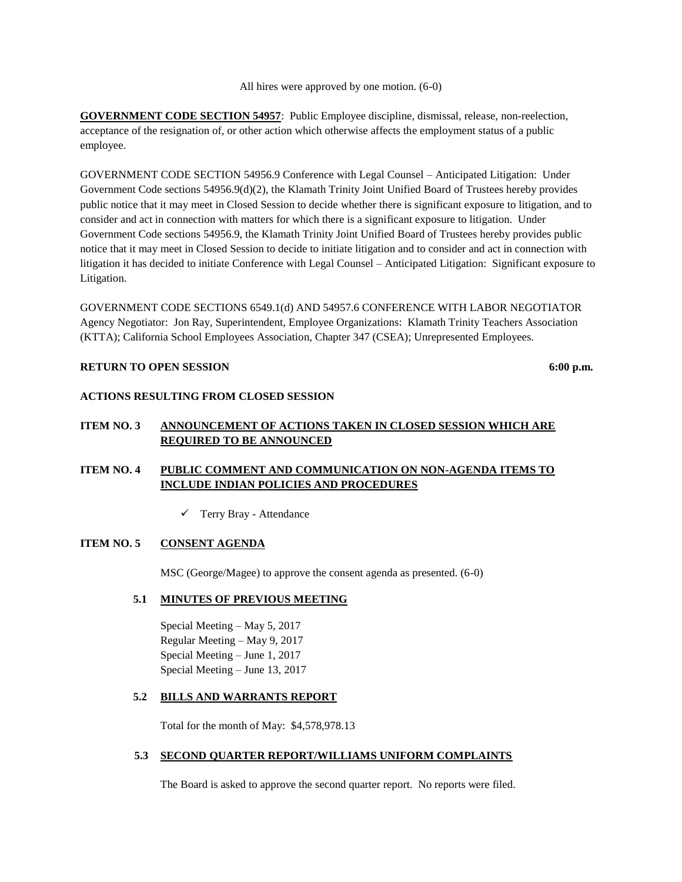All hires were approved by one motion. (6-0)

**GOVERNMENT CODE SECTION 54957**: Public Employee discipline, dismissal, release, non-reelection, acceptance of the resignation of, or other action which otherwise affects the employment status of a public employee.

GOVERNMENT CODE SECTION 54956.9 Conference with Legal Counsel – Anticipated Litigation: Under Government Code sections 54956.9(d)(2), the Klamath Trinity Joint Unified Board of Trustees hereby provides public notice that it may meet in Closed Session to decide whether there is significant exposure to litigation, and to consider and act in connection with matters for which there is a significant exposure to litigation. Under Government Code sections 54956.9, the Klamath Trinity Joint Unified Board of Trustees hereby provides public notice that it may meet in Closed Session to decide to initiate litigation and to consider and act in connection with litigation it has decided to initiate Conference with Legal Counsel – Anticipated Litigation: Significant exposure to Litigation.

GOVERNMENT CODE SECTIONS 6549.1(d) AND 54957.6 CONFERENCE WITH LABOR NEGOTIATOR Agency Negotiator: Jon Ray, Superintendent, Employee Organizations: Klamath Trinity Teachers Association (KTTA); California School Employees Association, Chapter 347 (CSEA); Unrepresented Employees.

#### **RETURN TO OPEN SESSION** 6:00 p.m.

#### **ACTIONS RESULTING FROM CLOSED SESSION**

## **ITEM NO. 3 ANNOUNCEMENT OF ACTIONS TAKEN IN CLOSED SESSION WHICH ARE REQUIRED TO BE ANNOUNCED**

## **ITEM NO. 4 PUBLIC COMMENT AND COMMUNICATION ON NON-AGENDA ITEMS TO INCLUDE INDIAN POLICIES AND PROCEDURES**

Terry Bray - Attendance

#### **ITEM NO. 5 CONSENT AGENDA**

MSC (George/Magee) to approve the consent agenda as presented. (6-0)

#### **5.1 MINUTES OF PREVIOUS MEETING**

Special Meeting – May 5, 2017 Regular Meeting – May 9, 2017 Special Meeting – June 1, 2017 Special Meeting – June 13, 2017

#### **5.2 BILLS AND WARRANTS REPORT**

Total for the month of May: \$4,578,978.13

#### **5.3 SECOND QUARTER REPORT/WILLIAMS UNIFORM COMPLAINTS**

The Board is asked to approve the second quarter report. No reports were filed.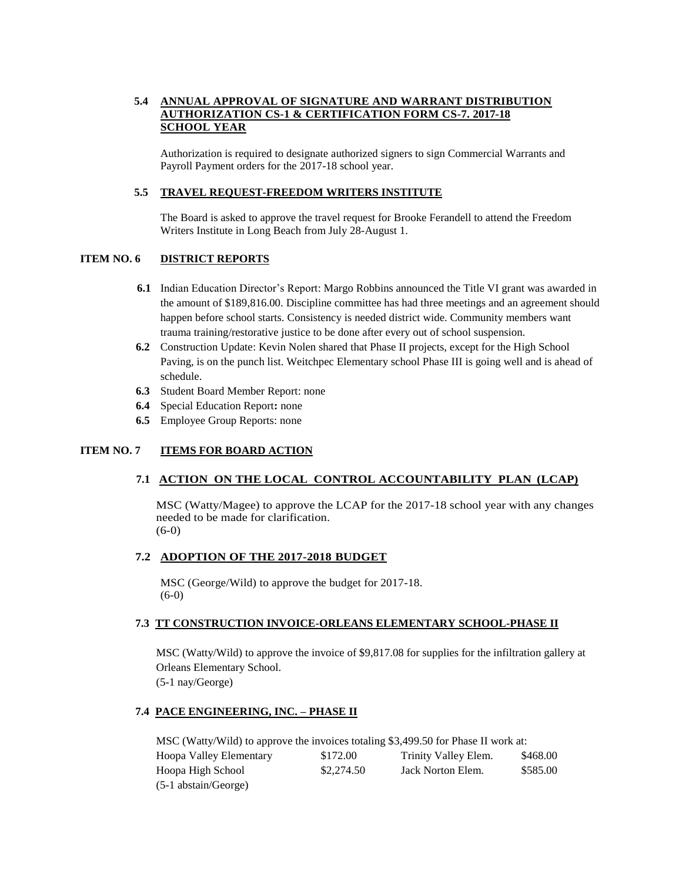### **5.4 ANNUAL APPROVAL OF SIGNATURE AND WARRANT DISTRIBUTION AUTHORIZATION CS-1 & CERTIFICATION FORM CS-7. 2017-18 SCHOOL YEAR**

Authorization is required to designate authorized signers to sign Commercial Warrants and Payroll Payment orders for the 2017-18 school year.

#### **5.5 TRAVEL REQUEST-FREEDOM WRITERS INSTITUTE**

The Board is asked to approve the travel request for Brooke Ferandell to attend the Freedom Writers Institute in Long Beach from July 28-August 1.

#### **ITEM NO. 6 DISTRICT REPORTS**

- **6.1** Indian Education Director's Report: Margo Robbins announced the Title VI grant was awarded in the amount of \$189,816.00. Discipline committee has had three meetings and an agreement should happen before school starts. Consistency is needed district wide. Community members want trauma training/restorative justice to be done after every out of school suspension.
- **6.2** Construction Update: Kevin Nolen shared that Phase II projects, except for the High School Paving, is on the punch list. Weitchpec Elementary school Phase III is going well and is ahead of schedule.
- **6.3** Student Board Member Report: none
- **6.4** Special Education Report**:** none
- **6.5** Employee Group Reports: none

#### **ITEM NO. 7 ITEMS FOR BOARD ACTION**

#### **7.1 ACTION ON THE LOCAL CONTROL ACCOUNTABILITY PLAN (LCAP)**

MSC (Watty/Magee) to approve the LCAP for the 2017-18 school year with any changes needed to be made for clarification. (6-0)

#### **7.2 ADOPTION OF THE 2017-2018 BUDGET**

MSC (George/Wild) to approve the budget for 2017-18. (6-0)

#### **7.3 TT CONSTRUCTION INVOICE-ORLEANS ELEMENTARY SCHOOL-PHASE II**

MSC (Watty/Wild) to approve the invoice of \$9,817.08 for supplies for the infiltration gallery at Orleans Elementary School. (5-1 nay/George)

#### **7.4 PACE ENGINEERING, INC. – PHASE II**

MSC (Watty/Wild) to approve the invoices totaling \$3,499.50 for Phase II work at: Hoopa Valley Elementary \$172.00 Trinity Valley Elem. \$468.00 Hoopa High School \$2,274.50 Jack Norton Elem. \$585.00 (5-1 abstain/George)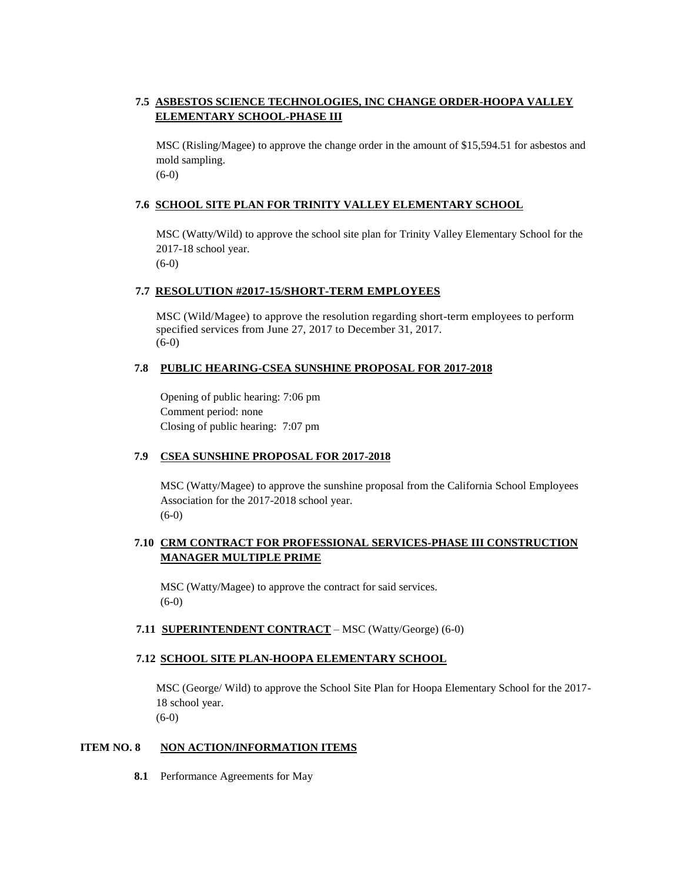## **7.5 ASBESTOS SCIENCE TECHNOLOGIES, INC CHANGE ORDER-HOOPA VALLEY ELEMENTARY SCHOOL-PHASE III**

MSC (Risling/Magee) to approve the change order in the amount of \$15,594.51 for asbestos and mold sampling. (6-0)

#### **7.6 SCHOOL SITE PLAN FOR TRINITY VALLEY ELEMENTARY SCHOOL**

MSC (Watty/Wild) to approve the school site plan for Trinity Valley Elementary School for the 2017-18 school year.

(6-0)

#### **7.7 RESOLUTION #2017-15/SHORT-TERM EMPLOYEES**

MSC (Wild/Magee) to approve the resolution regarding short-term employees to perform specified services from June 27, 2017 to December 31, 2017. (6-0)

#### **7.8 PUBLIC HEARING-CSEA SUNSHINE PROPOSAL FOR 2017-2018**

Opening of public hearing: 7:06 pm Comment period: none Closing of public hearing: 7:07 pm

#### **7.9 CSEA SUNSHINE PROPOSAL FOR 2017-2018**

MSC (Watty/Magee) to approve the sunshine proposal from the California School Employees Association for the 2017-2018 school year. (6-0)

### **7.10 CRM CONTRACT FOR PROFESSIONAL SERVICES-PHASE III CONSTRUCTION MANAGER MULTIPLE PRIME**

MSC (Watty/Magee) to approve the contract for said services. (6-0)

**7.11 SUPERINTENDENT CONTRACT** – MSC (Watty/George) (6-0)

#### **7.12 SCHOOL SITE PLAN-HOOPA ELEMENTARY SCHOOL**

MSC (George/ Wild) to approve the School Site Plan for Hoopa Elementary School for the 2017- 18 school year. (6-0)

#### **ITEM NO. 8 NON ACTION/INFORMATION ITEMS**

**8.1** Performance Agreements for May